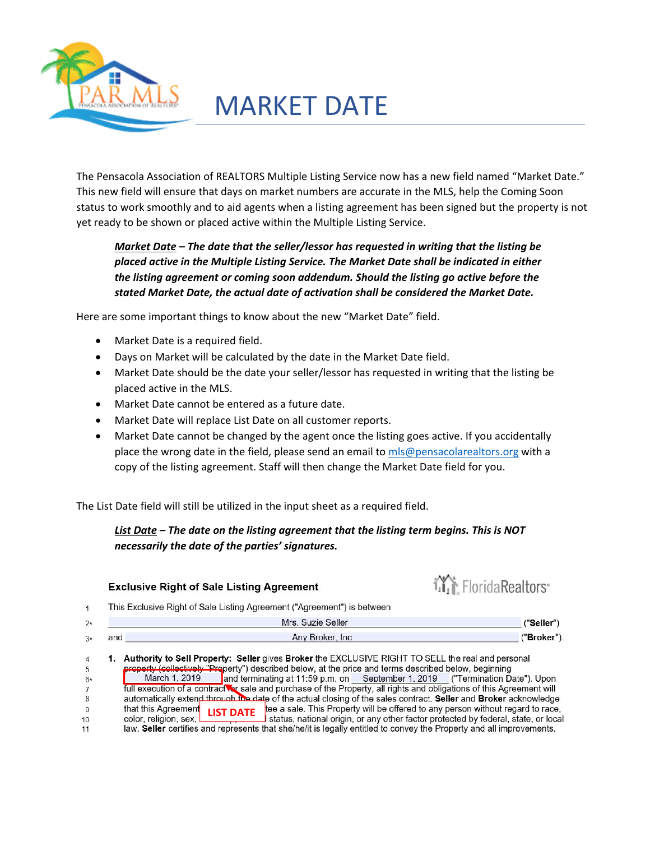

# MARKET DATE

The Pensacola Association of REALTORS Multiple Listing Service now has a new field named "Market Date." This new field will ensure that days on market numbers are accurate in the MLS, help the Coming Soon status to work smoothly and to aid agents when a listing agreement has been signed but the property is not yet ready to be shown or placed active within the Multiple Listing Service.

*Market Date – The date that the seller/lessor has requested in writing that the listing be placed active in the Multiple Listing Service. The Market Date shall be indicated in either the listing agreement or coming soon addendum. Should the listing go active before the stated Market Date, the actual date of activation shall be considered the Market Date.*

Here are some important things to know about the new "Market Date" field.

- Market Date is a required field.
- Days on Market will be calculated by the date in the Market Date field.
- Market Date should be the date your seller/lessor has requested in writing that the listing be placed active in the MLS.
- Market Date cannot be entered as a future date.
- Market Date will replace List Date on all customer reports.
- Market Date cannot be changed by the agent once the listing goes active. If you accidentally place the wrong date in the field, please send an email to mls@pensacolarealtors.org with a copy of the listing agreement. Staff will then change the Market Date field for you.

The List Date field will still be utilized in the input sheet as a required field.

#### *List Date – The date on the listing agreement that the listing term begins. This is NOT necessarily the date of the parties' signatures.*

#### **iii** Florida Realtors<sup>®</sup> **Exclusive Right of Sale Listing Agreement** This Exclusive Right of Sale Listing Agreement ("Agreement") is between  $\mathbf{1}$ Mrs. Suzie Seller  $2*$ ("Seller") and Any Broker, Inc. ("Broker").  $3*$ 1. Authority to Sell Property: Seller gives Broker the EXCLUSIVE RIGHT TO SELL the real and personal  $\overline{4}$ erty (collectively "Property") described below, at the price and terms described below, beginning<br>March 1, 2010, and terminating at 11:50 p.m. and Contamber 1, 2010, ("Termination D  $\sqrt{5}$ March 1, 2019 and terminating at 11:59 p.m. on September 1, 2019 ("Termination Date"). Upon<br>full execution of a contract was sale and purchase of the Property, all rights and obligations of this Agreement will<br>automaticall  $6*$  $\overline{7}$  $\bf 8$ that this Agreement **LIST DATE** tee a sale. This Property will be offered to any person without regard to race,  $\overline{9}$ color, religion, sex, L status, national origin, or any other factor protected by federal, state, or local  $10$  $11$ law. Seller certifies and represents that she/he/it is legally entitled to convey the Property and all improvements.